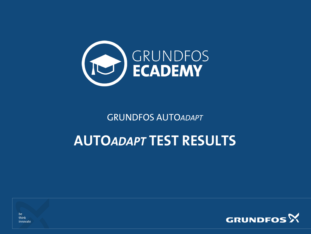

GRUNDFOS AUTO*ADAPT*

#### **AUTO***ADAPT* **TEST RESULTS**



be think innovate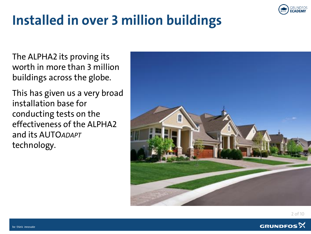

### **Installed in over 3 million buildings**

The ALPHA2 its proving its worth in more than 3 million buildings across the globe.

This has given us a very broad installation base for conducting tests on the effectiveness of the ALPHA2 and its AUTO*ADAPT* technology.



2 of 10

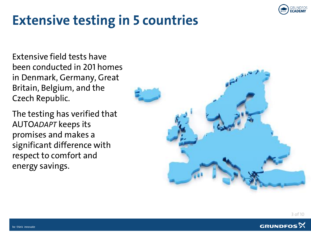

#### **Extensive testing in 5 countries**

Extensive field tests have been conducted in 201 homes in Denmark, Germany, Great Britain, Belgium, and the Czech Republic.

The testing has verified that AUTO*ADAPT* keeps its promises and makes a significant difference with respect to comfort and energy savings.



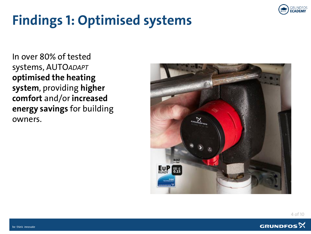

## **Findings 1: Optimised systems**

In over 80% of tested systems, AUTO*ADAPT* **optimised the heating system**, providing **higher comfort** and/or **increased energy savings** for building owners.



4 of 10

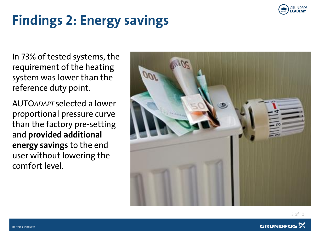

# **Findings 2: Energy savings**

In 73% of tested systems, the requirement of the heating system was lower than the reference duty point.

AUTO*ADAPT* selected a lower proportional pressure curve than the factory pre-setting and **provided additional energy savings** to the end user without lowering the comfort level.





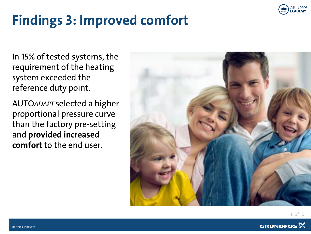

### **Findings 3: Improved comfort**

In 15% of tested systems, the requirement of the heating system exceeded the reference duty point.

AUTO*ADAPT* selected a higher proportional pressure curve than the factory pre-setting and **provided increased comfort** to the end user.



6 of 10